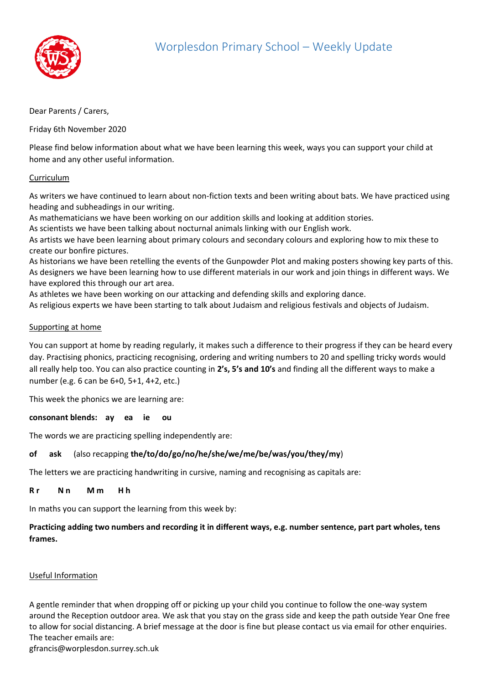

# Dear Parents / Carers,

Friday 6th November 2020

Please find below information about what we have been learning this week, ways you can support your child at home and any other useful information.

#### Curriculum

As writers we have continued to learn about non-fiction texts and been writing about bats. We have practiced using heading and subheadings in our writing.

As mathematicians we have been working on our addition skills and looking at addition stories.

As scientists we have been talking about nocturnal animals linking with our English work.

As artists we have been learning about primary colours and secondary colours and exploring how to mix these to create our bonfire pictures.

As historians we have been retelling the events of the Gunpowder Plot and making posters showing key parts of this. As designers we have been learning how to use different materials in our work and join things in different ways. We have explored this through our art area.

As athletes we have been working on our attacking and defending skills and exploring dance.

As religious experts we have been starting to talk about Judaism and religious festivals and objects of Judaism.

#### Supporting at home

You can support at home by reading regularly, it makes such a difference to their progress if they can be heard every day. Practising phonics, practicing recognising, ordering and writing numbers to 20 and spelling tricky words would all really help too. You can also practice counting in **2's, 5's and 10's** and finding all the different ways to make a number (e.g. 6 can be 6+0, 5+1, 4+2, etc.)

This week the phonics we are learning are:

**consonant blends: ay ea ie ou** 

The words we are practicing spelling independently are:

# **of ask** (also recapping **the/to/do/go/no/he/she/we/me/be/was/you/they/my**)

The letters we are practicing handwriting in cursive, naming and recognising as capitals are:

#### **Rr** Nn Mm Hh

In maths you can support the learning from this week by:

# **Practicing adding two numbers and recording it in different ways, e.g. number sentence, part part wholes, tens frames.**

# Useful Information

A gentle reminder that when dropping off or picking up your child you continue to follow the one-way system around the Reception outdoor area. We ask that you stay on the grass side and keep the path outside Year One free to allow for social distancing. A brief message at the door is fine but please contact us via email for other enquiries. The teacher emails are:

gfrancis@worplesdon.surrey.sch.uk